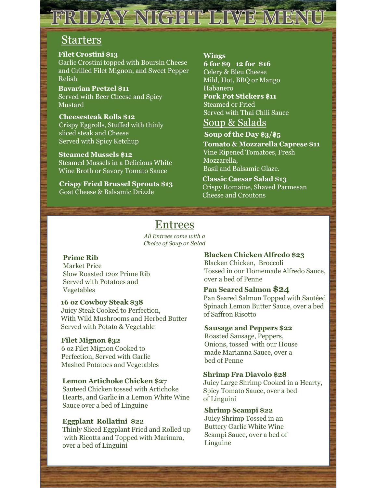# FRIDAY NIGHT LIVE MENU

### Starters

#### Filet Crostini \$13

Garlic Crostini topped with Boursin Cheese and Grilled Filet Mignon, and Sweet Pepper Relish

Bavarian Pretzel \$11 Served with Beer Cheese and Spicy Mustard

Cheesesteak Rolls \$12 Crispy Eggrolls, Stuffed with thinly sliced steak and Cheese Served with Spicy Ketchup

Steamed Mussels \$12 Steamed Mussels in a Delicious White Wine Broth or Savory Tomato Sauce

Crispy Fried Brussel Sprouts \$13 Goat Cheese & Balsamic Drizzle

#### Wings

6 for \$9 12 for \$16 Celery & Bleu Cheese Mild, Hot, BBQ or Mango Habanero Pork Pot Stickers \$11 Steamed or Fried Served with Thai Chili Sauce

### Soup & Salads

Soup of the Day \$3/\$5

Tomato & Mozzarella Caprese \$11 Vine Ripened Tomatoes, Fresh Mozzarella, Basil and Balsamic Glaze.

Classic Caesar Salad \$13 Crispy Romaine, Shaved Parmesan Cheese and Croutons

### Entrees

All Entrees come with a Choice of Soup or Salad

### Prime Rib

Market Price Slow Roasted 12oz Prime Rib Served with Potatoes and Vegetables

#### 16 oz Cowboy Steak \$38

Juicy Steak Cooked to Perfection, With Wild Mushrooms and Herbed Butter Served with Potato & Vegetable

### Filet Mignon \$32

6 oz Filet Mignon Cooked to Perfection, Served with Garlic Mashed Potatoes and Vegetables

#### Lemon Artichoke Chicken \$27

Sauteed Chicken tossed with Artichoke Hearts, and Garlic in a Lemon White Wine Sauce over a bed of Linguine<br>
Shrimp Scampi \$22

### Eggplant Rollatini \$22

Thinly Sliced Eggplant Fried and Rolled up with Ricotta and Topped with Marinara, over a bed of Linguini

#### Blacken Chicken Alfredo \$23

Blacken Chicken, Broccoli Tossed in our Homemade Alfredo Sauce, over a bed of Penne

### Pan Seared Salmon \$24

Pan Seared Salmon Topped with Sautéed Spinach Lemon Butter Sauce, over a bed of Saffron Risotto

#### Sausage and Peppers \$22

Roasted Sausage, Peppers, Onions, tossed with our House made Marianna Sauce, over a bed of Penne

### Shrimp Fra Diavolo \$28

Juicy Large Shrimp Cooked in a Hearty, Spicy Tomato Sauce, over a bed of Linguini

Juicy Shrimp Tossed in an Buttery Garlic White Wine Scampi Sauce, over a bed of Linguine